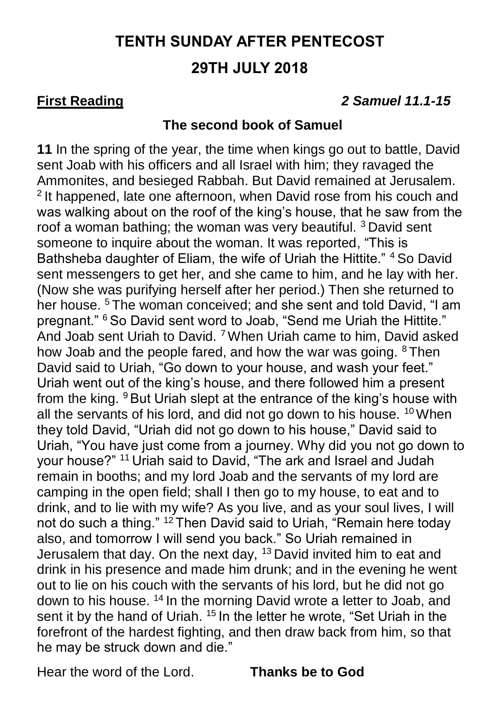# **TENTH SUNDAY AFTER PENTECOST 29TH JULY 2018**

### **First Reading** *2 Samuel 11.1-15*

### **The second book of Samuel**

**11** In the spring of the year, the time when kings go out to battle, David sent Joab with his officers and all Israel with him; they ravaged the Ammonites, and besieged Rabbah. But David remained at Jerusalem. <sup>2</sup> It happened, late one afternoon, when David rose from his couch and was walking about on the roof of the king's house, that he saw from the roof a woman bathing; the woman was very beautiful. <sup>3</sup> David sent someone to inquire about the woman. It was reported, "This is Bathsheba daughter of Eliam, the wife of Uriah the Hittite." <sup>4</sup> So David sent messengers to get her, and she came to him, and he lay with her. (Now she was purifying herself after her period.) Then she returned to her house. <sup>5</sup> The woman conceived; and she sent and told David, "I am pregnant." <sup>6</sup> So David sent word to Joab, "Send me Uriah the Hittite." And Joab sent Uriah to David. <sup>7</sup>When Uriah came to him, David asked how Joab and the people fared, and how the war was going. <sup>8</sup> Then David said to Uriah, "Go down to your house, and wash your feet." Uriah went out of the king's house, and there followed him a present from the king. <sup>9</sup> But Uriah slept at the entrance of the king's house with all the servants of his lord, and did not go down to his house. <sup>10</sup> When they told David, "Uriah did not go down to his house," David said to Uriah, "You have just come from a journey. Why did you not go down to your house?" <sup>11</sup> Uriah said to David, "The ark and Israel and Judah remain in booths; and my lord Joab and the servants of my lord are camping in the open field; shall I then go to my house, to eat and to drink, and to lie with my wife? As you live, and as your soul lives, I will not do such a thing." <sup>12</sup> Then David said to Uriah, "Remain here today also, and tomorrow I will send you back." So Uriah remained in Jerusalem that day. On the next day, <sup>13</sup> David invited him to eat and drink in his presence and made him drunk; and in the evening he went out to lie on his couch with the servants of his lord, but he did not go down to his house. <sup>14</sup> In the morning David wrote a letter to Joab, and sent it by the hand of Uriah. <sup>15</sup> In the letter he wrote, "Set Uriah in the forefront of the hardest fighting, and then draw back from him, so that he may be struck down and die."

Hear the word of the Lord. **Thanks be to God**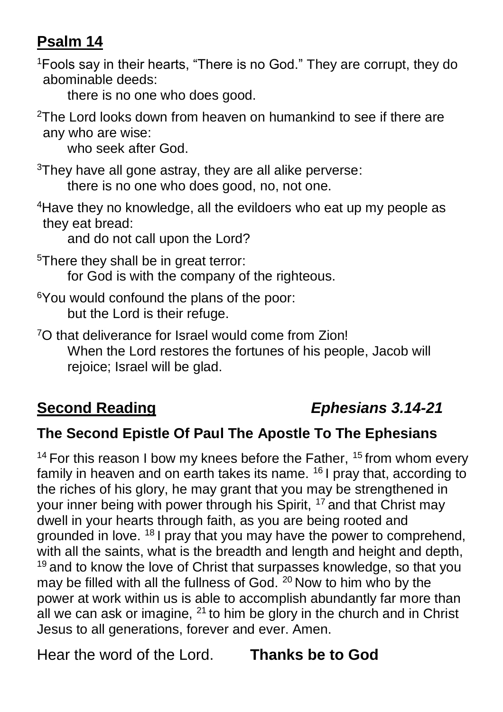## **Psalm 14**

<sup>1</sup>Fools say in their hearts, "There is no God." They are corrupt, they do abominable deeds:

there is no one who does good.

 $2$ The Lord looks down from heaven on humankind to see if there are any who are wise:

who seek after God.

 $3$ They have all gone astray, they are all alike perverse:

there is no one who does good, no, not one.

<sup>4</sup>Have they no knowledge, all the evildoers who eat up my people as they eat bread:

and do not call upon the Lord?

- <sup>5</sup>There they shall be in great terror: for God is with the company of the righteous.
- <sup>6</sup>You would confound the plans of the poor: but the Lord is their refuge.

<sup>7</sup>O that deliverance for Israel would come from Zion! When the Lord restores the fortunes of his people, Jacob will rejoice; Israel will be glad.

# **Second Reading** *Ephesians 3.14-21*

## **The Second Epistle Of Paul The Apostle To The Ephesians**

<sup>14</sup> For this reason I bow my knees before the Father,  $15$  from whom every family in heaven and on earth takes its name. <sup>16</sup> I pray that, according to the riches of his glory, he may grant that you may be strengthened in your inner being with power through his Spirit, <sup>17</sup> and that Christ may dwell in your hearts through faith, as you are being rooted and grounded in love. <sup>18</sup> I pray that you may have the power to comprehend, with all the saints, what is the breadth and length and height and depth, <sup>19</sup> and to know the love of Christ that surpasses knowledge, so that you may be filled with all the fullness of God. <sup>20</sup> Now to him who by the power at work within us is able to accomplish abundantly far more than all we can ask or imagine,  $21$  to him be glory in the church and in Christ Jesus to all generations, forever and ever. Amen.

Hear the word of the Lord. **Thanks be to God**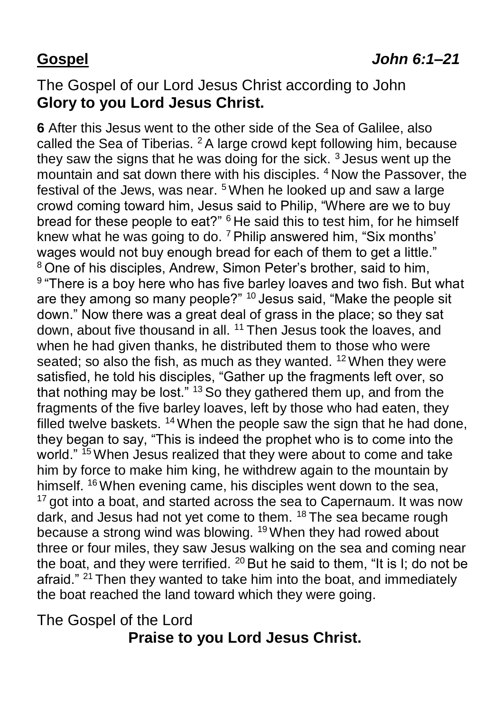## The Gospel of our Lord Jesus Christ according to John **Glory to you Lord Jesus Christ.**

**6** After this Jesus went to the other side of the Sea of Galilee, also called the Sea of Tiberias. <sup>2</sup>A large crowd kept following him, because they saw the signs that he was doing for the sick.  $3$  Jesus went up the mountain and sat down there with his disciples. <sup>4</sup> Now the Passover, the festival of the Jews, was near. <sup>5</sup>When he looked up and saw a large crowd coming toward him, Jesus said to Philip, "Where are we to buy bread for these people to eat?" <sup>6</sup> He said this to test him, for he himself knew what he was going to do. <sup>7</sup> Philip answered him, "Six months' wages would not buy enough bread for each of them to get a little." <sup>8</sup> One of his disciples, Andrew, Simon Peter's brother, said to him, <sup>9</sup> "There is a boy here who has five barley loaves and two fish. But what are they among so many people?" <sup>10</sup> Jesus said, "Make the people sit down." Now there was a great deal of grass in the place; so they sat down, about five thousand in all. <sup>11</sup> Then Jesus took the loaves, and when he had given thanks, he distributed them to those who were seated; so also the fish, as much as they wanted.  $12$  When they were satisfied, he told his disciples, "Gather up the fragments left over, so that nothing may be lost."  $13$  So they gathered them up, and from the fragments of the five barley loaves, left by those who had eaten, they filled twelve baskets. <sup>14</sup> When the people saw the sign that he had done, they began to say, "This is indeed the prophet who is to come into the world." <sup>15</sup> When Jesus realized that they were about to come and take him by force to make him king, he withdrew again to the mountain by himself. <sup>16</sup> When evening came, his disciples went down to the sea, <sup>17</sup> got into a boat, and started across the sea to Capernaum. It was now dark, and Jesus had not yet come to them. <sup>18</sup> The sea became rough because a strong wind was blowing. <sup>19</sup>When they had rowed about three or four miles, they saw Jesus walking on the sea and coming near the boat, and they were terrified.  $20$  But he said to them, "It is I; do not be afraid." <sup>21</sup> Then they wanted to take him into the boat, and immediately the boat reached the land toward which they were going.

## The Gospel of the Lord **Praise to you Lord Jesus Christ.**